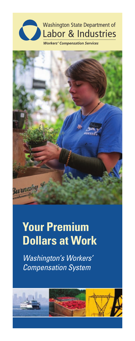

**Workers' Compensation Services** 



# **Your Premium Dollars at Work**

*Washington's Workers' Compensation System*

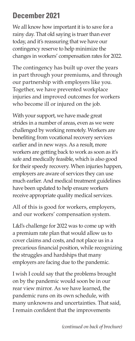### **December 2021**

We all know how important it is to save for a rainy day. That old saying is truer than ever today, and it's reassuring that we have our contingency reserve to help minimize the changes in workers' compensation rates for 2022.

The contingency has built up over the years in part through your premiums, and through our partnership with employers like you. Together, we have prevented workplace injuries and improved outcomes for workers who become ill or injured on the job.

With your support, we have made great strides in a number of areas, even as we were challenged by working remotely. Workers are benefiting from vocational recovery services earlier and in new ways. As a result, more workers are getting back to work as soon as it's safe and medically feasible, which is also good for their speedy recovery. When injuries happen, employers are aware of services they can use much earlier. And medical treatment guidelines have been updated to help ensure workers receive appropriate quality medical services.

All of this is good for workers, employers, and our workers' compensation system.

L&I's challenge for 2022 was to come up with a premium rate plan that would allow us to cover claims and costs, and not place us in a precarious financial position, while recognizing the struggles and hardships that many employers are facing due to the pandemic.

I wish I could say that the problems brought on by the pandemic would soon be in our rear view mirror. As we have learned, the pandemic runs on its own schedule, with many unknowns and uncertainties. That said, I remain confident that the improvements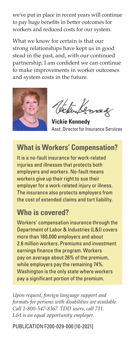we've put in place in recent years will continue to pay huge benefits in better outcomes for workers and reduced costs for our system.

What we know for certain is that our strong relationships have kept us in good stead in the past, and, with our continued partnership, I am confident we can continue to make improvements in worker outcomes and system costs in the future.



Victuressed

**Vickie Kennedy** Asst. Director for Insurance Services

### **What is Workers' Compensation?**

It is a no-fault insurance for work-related injuries and illnesses that protects both employers and workers. No-fault means workers give up their right to sue their employer for a work-related injury or illness. The insurance also protects employers from the cost of extended claims and tort liability.

#### **Who is covered?**

Workers' compensation insurance through the Department of Labor & Industries (L&I) covers more than 180,000 employers and about 2.6 million workers. Premiums and investment earnings finance the program. Workers pay on average about 26% of the premium, while employers pay the remaining 74%. Washington is the only state where workers pay a significant portion of the premium.

*Upon request, foreign language support and formats for persons with disabilities are available. Call 1-800-547-8367. TDD users, call 711. L&I is an equal opportunity employer.*

PUBLICATION F200-029-000 [10-2021]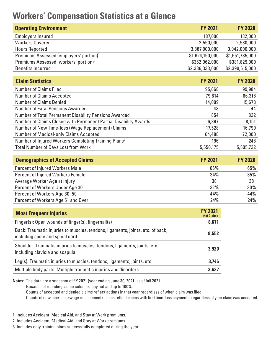## **Workers' Compensation Statistics at a Glance**

| <b>Operating Environment</b>                        | <b>FY 2021</b>  | <b>FY 2020</b>  |
|-----------------------------------------------------|-----------------|-----------------|
| Employers Insured                                   | 187,000         | 182,000         |
| <b>Workers Covered</b>                              | 2,550,000       | 2,580,000       |
| <b>Hours Reported</b>                               | 3,887,000,000   | 3,942,000,000   |
| Premiums Assessed (employers' portion) <sup>1</sup> | \$1,624,150,000 | \$1,651,735,000 |
| Premiums Assessed (workers' portion) <sup>2</sup>   | \$362,062,000   | \$381,829,000   |
| <b>Benefits Incurred</b>                            | \$2,336,333,000 | \$2,399,615,000 |

| <b>Claim Statistics</b>                                          | <b>FY 2021</b> | <b>FY 2020</b> |
|------------------------------------------------------------------|----------------|----------------|
| <b>Number of Claims Filed</b>                                    | 95,668         | 99,984         |
| <b>Number of Claims Accepted</b>                                 | 79,814         | 86,316         |
| Number of Claims Denied                                          | 14,099         | 15,678         |
| Number of Fatal Pensions Awarded                                 | 43             | 44             |
| Number of Total Permanent Disability Pensions Awarded            | 854            | 832            |
| Number of Claims Closed with Permanent Partial Disability Awards | 6,897          | 8,151          |
| Number of New Time-loss (Wage Replacement) Claims                | 17,528         | 16,790         |
| Number of Medical-only Claims Accepted                           | 64,488         | 72,000         |
| Number of Injured Workers Completing Training Plans <sup>3</sup> | 196            | 248            |
| <b>Total Number of Days Lost from Work</b>                       | 5,550,175      | 5,505,732      |
|                                                                  |                |                |

| <b>Demographics of Accepted Claims</b>   | <b>FY 2021</b> | <b>FY 2020</b> |
|------------------------------------------|----------------|----------------|
| Percent of Injured Workers Male          | 66%            | 65%            |
| <b>Percent of Injured Workers Female</b> | 34%            | 35%            |
| Average Worker Age at Injury             | 38             | 38             |
| Percent of Workers Under Age 30          | 32%            | 30%            |
| Percent of Workers Age 30-50             | 44%            | 44%            |
| Percent of Workers Age 51 and Over       | 24%            | 24%            |

| <b>Most Frequent Injuries</b>                                                                                     | <b>FY 2021</b><br># of Claims |
|-------------------------------------------------------------------------------------------------------------------|-------------------------------|
| Finger(s): Open wounds of finger(s), fingernail(s)                                                                | 8,671                         |
| Back: Traumatic injuries to muscles, tendons, ligaments, joints, etc. of back,<br>including spine and spinal cord | 8.552                         |
| Shoulder: Traumatic injuries to muscles, tendons, ligaments, joints, etc.<br>including clavicle and scapula       | 3.920                         |
| Leg(s): Traumatic injuries to muscles, tendons, ligaments, joints, etc.                                           | 3.746                         |
| Multiple body parts: Multiple traumatic injuries and disorders                                                    | 3.637                         |
|                                                                                                                   |                               |

**Notes:** The data are a snapshot of FY 2021 (year ending June 30, 2021) as of fall 2021.

Because of rounding, some columns may not add up to 100%.

Counts of accepted and denied claims reflect actions in that year regardless of when claim was filed.

Counts of new time-loss (wage replacement) claims reflect claims with first time-loss payments, regardless of year claim was accepted.

1. Includes Accident, Medical Aid, and Stay at Work premiums.

2. Includes Accident, Medical Aid, and Stay at Work premiums.

3. Includes only training plans successfully completed during the year.